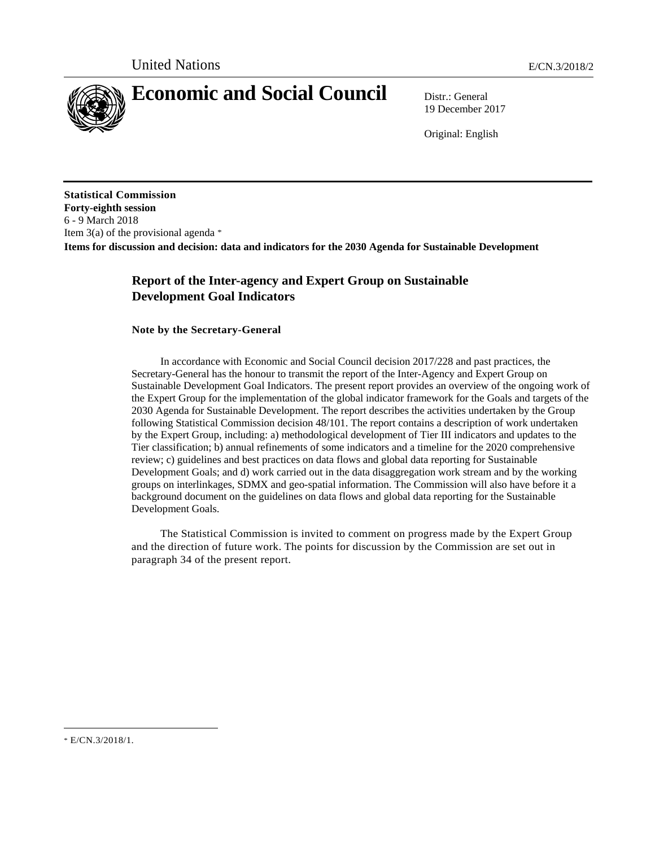

# **Economic and Social Council** Distr.: General

19 December 2017

Original: English

**Statistical Commission Forty-eighth session**  6 - 9 March 2018 Item  $3(a)$  of the provisional agenda  $*$ **Items for discussion and decision: data and indicators for the 2030 Agenda for Sustainable Development** 

# **Report of the Inter-agency and Expert Group on Sustainable Development Goal Indicators**

## **Note by the Secretary-General**

 In accordance with Economic and Social Council decision 2017/228 and past practices, the Secretary-General has the honour to transmit the report of the Inter-Agency and Expert Group on Sustainable Development Goal Indicators. The present report provides an overview of the ongoing work of the Expert Group for the implementation of the global indicator framework for the Goals and targets of the 2030 Agenda for Sustainable Development. The report describes the activities undertaken by the Group following Statistical Commission decision 48/101. The report contains a description of work undertaken by the Expert Group, including: a) methodological development of Tier III indicators and updates to the Tier classification; b) annual refinements of some indicators and a timeline for the 2020 comprehensive review; c) guidelines and best practices on data flows and global data reporting for Sustainable Development Goals; and d) work carried out in the data disaggregation work stream and by the working groups on interlinkages, SDMX and geo-spatial information. The Commission will also have before it a background document on the guidelines on data flows and global data reporting for the Sustainable Development Goals.

 The Statistical Commission is invited to comment on progress made by the Expert Group and the direction of future work. The points for discussion by the Commission are set out in paragraph 34 of the present report.

 $\overline{a}$ 

<sup>\*</sup> E/CN.3/2018/1.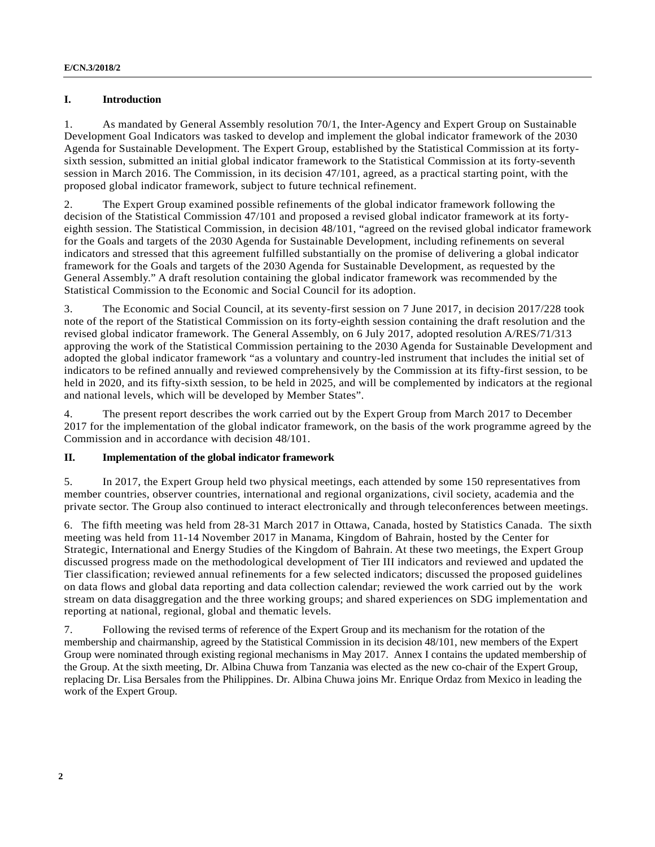## **I. Introduction**

1. As mandated by General Assembly resolution 70/1, the Inter-Agency and Expert Group on Sustainable Development Goal Indicators was tasked to develop and implement the global indicator framework of the 2030 Agenda for Sustainable Development. The Expert Group, established by the Statistical Commission at its fortysixth session, submitted an initial global indicator framework to the Statistical Commission at its forty-seventh session in March 2016. The Commission, in its decision 47/101, agreed, as a practical starting point, with the proposed global indicator framework, subject to future technical refinement.

2. The Expert Group examined possible refinements of the global indicator framework following the decision of the Statistical Commission 47/101 and proposed a revised global indicator framework at its fortyeighth session. The Statistical Commission, in decision 48/101, "agreed on the revised global indicator framework for the Goals and targets of the 2030 Agenda for Sustainable Development, including refinements on several indicators and stressed that this agreement fulfilled substantially on the promise of delivering a global indicator framework for the Goals and targets of the 2030 Agenda for Sustainable Development, as requested by the General Assembly." A draft resolution containing the global indicator framework was recommended by the Statistical Commission to the Economic and Social Council for its adoption.

3. The Economic and Social Council, at its seventy-first session on 7 June 2017, in decision 2017/228 took note of the report of the Statistical Commission on its forty-eighth session containing the draft resolution and the revised global indicator framework. The General Assembly, on 6 July 2017, adopted resolution A/RES/71/313 approving the work of the Statistical Commission pertaining to the 2030 Agenda for Sustainable Development and adopted the global indicator framework "as a voluntary and country-led instrument that includes the initial set of indicators to be refined annually and reviewed comprehensively by the Commission at its fifty-first session, to be held in 2020, and its fifty-sixth session, to be held in 2025, and will be complemented by indicators at the regional and national levels, which will be developed by Member States".

4. The present report describes the work carried out by the Expert Group from March 2017 to December 2017 for the implementation of the global indicator framework, on the basis of the work programme agreed by the Commission and in accordance with decision 48/101.

## **II. Implementation of the global indicator framework**

5. In 2017, the Expert Group held two physical meetings, each attended by some 150 representatives from member countries, observer countries, international and regional organizations, civil society, academia and the private sector. The Group also continued to interact electronically and through teleconferences between meetings.

6. The fifth meeting was held from 28-31 March 2017 in Ottawa, Canada, hosted by Statistics Canada. The sixth meeting was held from 11-14 November 2017 in Manama, Kingdom of Bahrain, hosted by the Center for Strategic, International and Energy Studies of the Kingdom of Bahrain. At these two meetings, the Expert Group discussed progress made on the methodological development of Tier III indicators and reviewed and updated the Tier classification; reviewed annual refinements for a few selected indicators; discussed the proposed guidelines on data flows and global data reporting and data collection calendar; reviewed the work carried out by the work stream on data disaggregation and the three working groups; and shared experiences on SDG implementation and reporting at national, regional, global and thematic levels.

7. Following the revised terms of reference of the Expert Group and its mechanism for the rotation of the membership and chairmanship, agreed by the Statistical Commission in its decision 48/101, new members of the Expert Group were nominated through existing regional mechanisms in May 2017. Annex I contains the updated membership of the Group. At the sixth meeting, Dr. Albina Chuwa from Tanzania was elected as the new co-chair of the Expert Group, replacing Dr. Lisa Bersales from the Philippines. Dr. Albina Chuwa joins Mr. Enrique Ordaz from Mexico in leading the work of the Expert Group.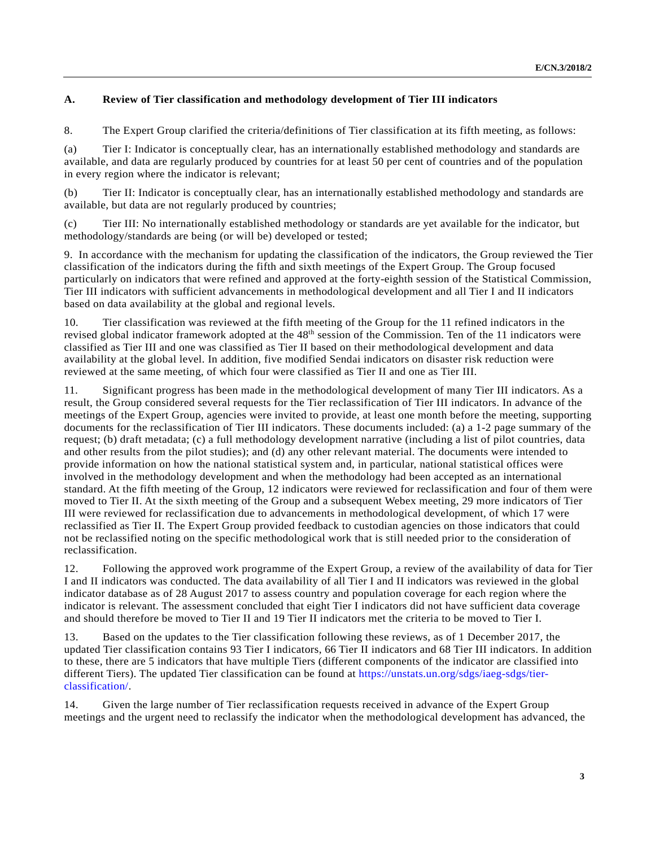# **A. Review of Tier classification and methodology development of Tier III indicators**

8. The Expert Group clarified the criteria/definitions of Tier classification at its fifth meeting, as follows:

(a) Tier I: Indicator is conceptually clear, has an internationally established methodology and standards are available, and data are regularly produced by countries for at least 50 per cent of countries and of the population in every region where the indicator is relevant;

(b) Tier II: Indicator is conceptually clear, has an internationally established methodology and standards are available, but data are not regularly produced by countries;

(c) Tier III: No internationally established methodology or standards are yet available for the indicator, but methodology/standards are being (or will be) developed or tested;

9. In accordance with the mechanism for updating the classification of the indicators, the Group reviewed the Tier classification of the indicators during the fifth and sixth meetings of the Expert Group. The Group focused particularly on indicators that were refined and approved at the forty-eighth session of the Statistical Commission, Tier III indicators with sufficient advancements in methodological development and all Tier I and II indicators based on data availability at the global and regional levels.

10. Tier classification was reviewed at the fifth meeting of the Group for the 11 refined indicators in the revised global indicator framework adopted at the 48<sup>th</sup> session of the Commission. Ten of the 11 indicators were classified as Tier III and one was classified as Tier II based on their methodological development and data availability at the global level. In addition, five modified Sendai indicators on disaster risk reduction were reviewed at the same meeting, of which four were classified as Tier II and one as Tier III.

11. Significant progress has been made in the methodological development of many Tier III indicators. As a result, the Group considered several requests for the Tier reclassification of Tier III indicators. In advance of the meetings of the Expert Group, agencies were invited to provide, at least one month before the meeting, supporting documents for the reclassification of Tier III indicators. These documents included: (a) a 1-2 page summary of the request; (b) draft metadata; (c) a full methodology development narrative (including a list of pilot countries, data and other results from the pilot studies); and (d) any other relevant material. The documents were intended to provide information on how the national statistical system and, in particular, national statistical offices were involved in the methodology development and when the methodology had been accepted as an international standard. At the fifth meeting of the Group, 12 indicators were reviewed for reclassification and four of them were moved to Tier II. At the sixth meeting of the Group and a subsequent Webex meeting, 29 more indicators of Tier III were reviewed for reclassification due to advancements in methodological development, of which 17 were reclassified as Tier II. The Expert Group provided feedback to custodian agencies on those indicators that could not be reclassified noting on the specific methodological work that is still needed prior to the consideration of reclassification.

12. Following the approved work programme of the Expert Group, a review of the availability of data for Tier I and II indicators was conducted. The data availability of all Tier I and II indicators was reviewed in the global indicator database as of 28 August 2017 to assess country and population coverage for each region where the indicator is relevant. The assessment concluded that eight Tier I indicators did not have sufficient data coverage and should therefore be moved to Tier II and 19 Tier II indicators met the criteria to be moved to Tier I.

13. Based on the updates to the Tier classification following these reviews, as of 1 December 2017, the updated Tier classification contains 93 Tier I indicators, 66 Tier II indicators and 68 Tier III indicators. In addition to these, there are 5 indicators that have multiple Tiers (different components of the indicator are classified into different Tiers). The updated Tier classification can be found at https://unstats.un.org/sdgs/iaeg-sdgs/tierclassification/.

14. Given the large number of Tier reclassification requests received in advance of the Expert Group meetings and the urgent need to reclassify the indicator when the methodological development has advanced, the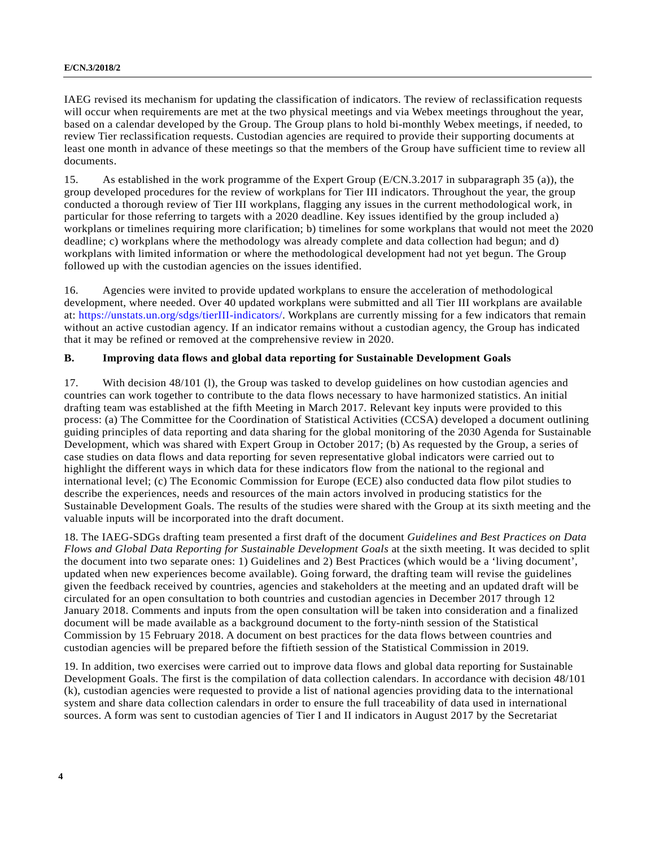IAEG revised its mechanism for updating the classification of indicators. The review of reclassification requests will occur when requirements are met at the two physical meetings and via Webex meetings throughout the year, based on a calendar developed by the Group. The Group plans to hold bi-monthly Webex meetings, if needed, to review Tier reclassification requests. Custodian agencies are required to provide their supporting documents at least one month in advance of these meetings so that the members of the Group have sufficient time to review all documents.

15. As established in the work programme of the Expert Group (E/CN.3.2017 in subparagraph 35 (a)), the group developed procedures for the review of workplans for Tier III indicators. Throughout the year, the group conducted a thorough review of Tier III workplans, flagging any issues in the current methodological work, in particular for those referring to targets with a 2020 deadline. Key issues identified by the group included a) workplans or timelines requiring more clarification; b) timelines for some workplans that would not meet the 2020 deadline; c) workplans where the methodology was already complete and data collection had begun; and d) workplans with limited information or where the methodological development had not yet begun. The Group followed up with the custodian agencies on the issues identified.

16. Agencies were invited to provide updated workplans to ensure the acceleration of methodological development, where needed. Over 40 updated workplans were submitted and all Tier III workplans are available at: https://unstats.un.org/sdgs/tierIII-indicators/. Workplans are currently missing for a few indicators that remain without an active custodian agency. If an indicator remains without a custodian agency, the Group has indicated that it may be refined or removed at the comprehensive review in 2020.

#### **B. Improving data flows and global data reporting for Sustainable Development Goals**

17. With decision 48/101 (l), the Group was tasked to develop guidelines on how custodian agencies and countries can work together to contribute to the data flows necessary to have harmonized statistics. An initial drafting team was established at the fifth Meeting in March 2017. Relevant key inputs were provided to this process: (a) The Committee for the Coordination of Statistical Activities (CCSA) developed a document outlining guiding principles of data reporting and data sharing for the global monitoring of the 2030 Agenda for Sustainable Development, which was shared with Expert Group in October 2017; (b) As requested by the Group, a series of case studies on data flows and data reporting for seven representative global indicators were carried out to highlight the different ways in which data for these indicators flow from the national to the regional and international level; (c) The Economic Commission for Europe (ECE) also conducted data flow pilot studies to describe the experiences, needs and resources of the main actors involved in producing statistics for the Sustainable Development Goals. The results of the studies were shared with the Group at its sixth meeting and the valuable inputs will be incorporated into the draft document.

18. The IAEG-SDGs drafting team presented a first draft of the document *Guidelines and Best Practices on Data Flows and Global Data Reporting for Sustainable Development Goals* at the sixth meeting. It was decided to split the document into two separate ones: 1) Guidelines and 2) Best Practices (which would be a 'living document', updated when new experiences become available). Going forward, the drafting team will revise the guidelines given the feedback received by countries, agencies and stakeholders at the meeting and an updated draft will be circulated for an open consultation to both countries and custodian agencies in December 2017 through 12 January 2018. Comments and inputs from the open consultation will be taken into consideration and a finalized document will be made available as a background document to the forty-ninth session of the Statistical Commission by 15 February 2018. A document on best practices for the data flows between countries and custodian agencies will be prepared before the fiftieth session of the Statistical Commission in 2019.

19. In addition, two exercises were carried out to improve data flows and global data reporting for Sustainable Development Goals. The first is the compilation of data collection calendars. In accordance with decision 48/101 (k), custodian agencies were requested to provide a list of national agencies providing data to the international system and share data collection calendars in order to ensure the full traceability of data used in international sources. A form was sent to custodian agencies of Tier I and II indicators in August 2017 by the Secretariat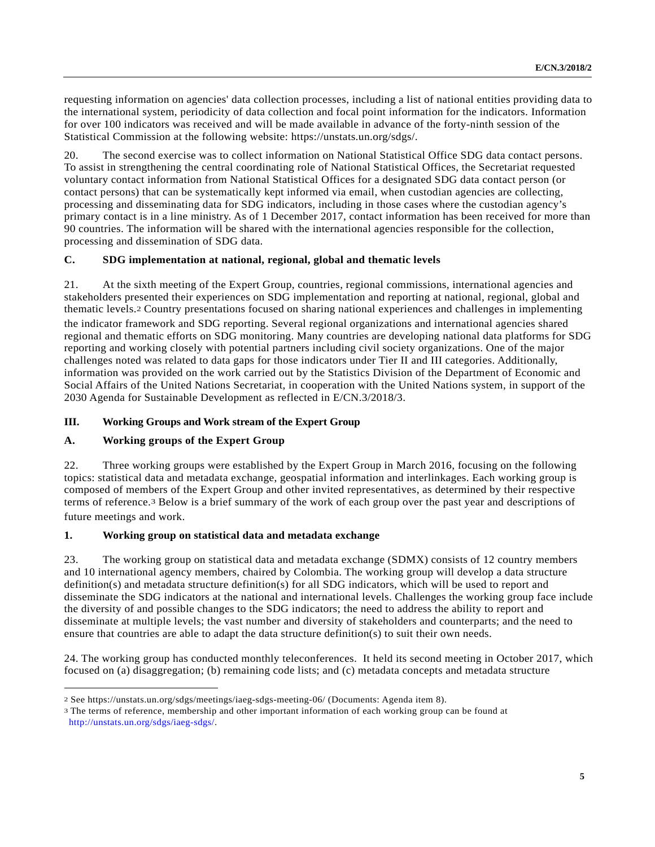requesting information on agencies' data collection processes, including a list of national entities providing data to the international system, periodicity of data collection and focal point information for the indicators. Information for over 100 indicators was received and will be made available in advance of the forty-ninth session of the Statistical Commission at the following website: https://unstats.un.org/sdgs/.

20. The second exercise was to collect information on National Statistical Office SDG data contact persons. To assist in strengthening the central coordinating role of National Statistical Offices, the Secretariat requested voluntary contact information from National Statistical Offices for a designated SDG data contact person (or contact persons) that can be systematically kept informed via email, when custodian agencies are collecting, processing and disseminating data for SDG indicators, including in those cases where the custodian agency's primary contact is in a line ministry. As of 1 December 2017, contact information has been received for more than 90 countries. The information will be shared with the international agencies responsible for the collection, processing and dissemination of SDG data.

## **C. SDG implementation at national, regional, global and thematic levels**

21. At the sixth meeting of the Expert Group, countries, regional commissions, international agencies and stakeholders presented their experiences on SDG implementation and reporting at national, regional, global and thematic levels.2 Country presentations focused on sharing national experiences and challenges in implementing the indicator framework and SDG reporting. Several regional organizations and international agencies shared regional and thematic efforts on SDG monitoring. Many countries are developing national data platforms for SDG reporting and working closely with potential partners including civil society organizations. One of the major challenges noted was related to data gaps for those indicators under Tier II and III categories. Additionally, information was provided on the work carried out by the Statistics Division of the Department of Economic and Social Affairs of the United Nations Secretariat, in cooperation with the United Nations system, in support of the 2030 Agenda for Sustainable Development as reflected in E/CN.3/2018/3.

## **III. Working Groups and Work stream of the Expert Group**

## **A. Working groups of the Expert Group**

 $\overline{a}$ 

22. Three working groups were established by the Expert Group in March 2016, focusing on the following topics: statistical data and metadata exchange, geospatial information and interlinkages. Each working group is composed of members of the Expert Group and other invited representatives, as determined by their respective terms of reference.3 Below is a brief summary of the work of each group over the past year and descriptions of future meetings and work.

## **1. Working group on statistical data and metadata exchange**

23. The working group on statistical data and metadata exchange (SDMX) consists of 12 country members and 10 international agency members, chaired by Colombia. The working group will develop a data structure definition(s) and metadata structure definition(s) for all SDG indicators, which will be used to report and disseminate the SDG indicators at the national and international levels. Challenges the working group face include the diversity of and possible changes to the SDG indicators; the need to address the ability to report and disseminate at multiple levels; the vast number and diversity of stakeholders and counterparts; and the need to ensure that countries are able to adapt the data structure definition(s) to suit their own needs.

24. The working group has conducted monthly teleconferences. It held its second meeting in October 2017, which focused on (a) disaggregation; (b) remaining code lists; and (c) metadata concepts and metadata structure

<sup>2</sup> See https://unstats.un.org/sdgs/meetings/iaeg-sdgs-meeting-06/ (Documents: Agenda item 8).

<sup>3</sup> The terms of reference, membership and other important information of each working group can be found at http://unstats.un.org/sdgs/iaeg-sdgs/.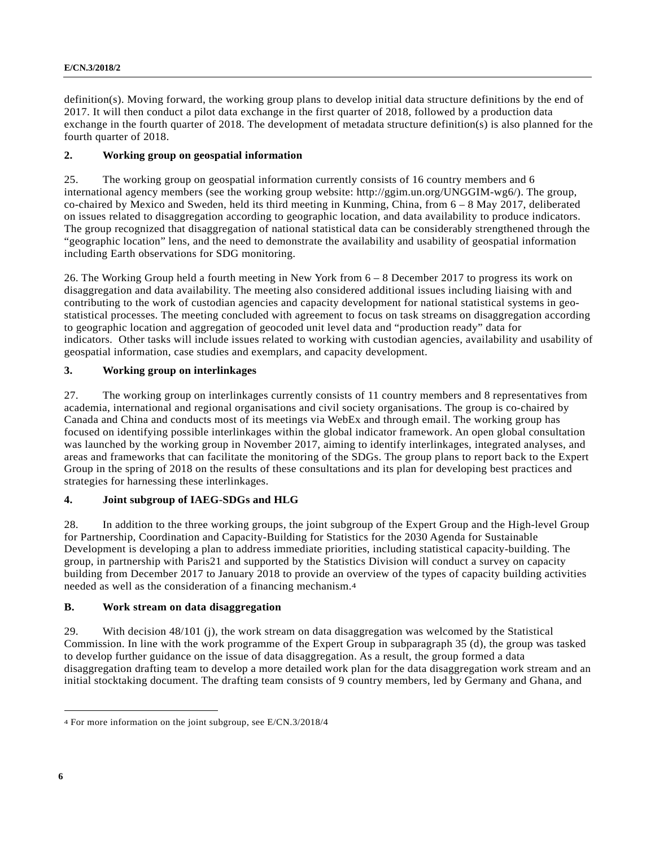definition(s). Moving forward, the working group plans to develop initial data structure definitions by the end of 2017. It will then conduct a pilot data exchange in the first quarter of 2018, followed by a production data exchange in the fourth quarter of 2018. The development of metadata structure definition(s) is also planned for the fourth quarter of 2018.

## **2. Working group on geospatial information**

25. The working group on geospatial information currently consists of 16 country members and 6 international agency members (see the working group website: http://ggim.un.org/UNGGIM-wg6/). The group, co-chaired by Mexico and Sweden, held its third meeting in Kunming, China, from 6 – 8 May 2017, deliberated on issues related to disaggregation according to geographic location, and data availability to produce indicators. The group recognized that disaggregation of national statistical data can be considerably strengthened through the "geographic location" lens, and the need to demonstrate the availability and usability of geospatial information including Earth observations for SDG monitoring.

26. The Working Group held a fourth meeting in New York from 6 – 8 December 2017 to progress its work on disaggregation and data availability. The meeting also considered additional issues including liaising with and contributing to the work of custodian agencies and capacity development for national statistical systems in geostatistical processes. The meeting concluded with agreement to focus on task streams on disaggregation according to geographic location and aggregation of geocoded unit level data and "production ready" data for indicators. Other tasks will include issues related to working with custodian agencies, availability and usability of geospatial information, case studies and exemplars, and capacity development.

## **3. Working group on interlinkages**

27. The working group on interlinkages currently consists of 11 country members and 8 representatives from academia, international and regional organisations and civil society organisations. The group is co-chaired by Canada and China and conducts most of its meetings via WebEx and through email. The working group has focused on identifying possible interlinkages within the global indicator framework. An open global consultation was launched by the working group in November 2017, aiming to identify interlinkages, integrated analyses, and areas and frameworks that can facilitate the monitoring of the SDGs. The group plans to report back to the Expert Group in the spring of 2018 on the results of these consultations and its plan for developing best practices and strategies for harnessing these interlinkages.

## **4. Joint subgroup of IAEG-SDGs and HLG**

28. In addition to the three working groups, the joint subgroup of the Expert Group and the High-level Group for Partnership, Coordination and Capacity-Building for Statistics for the 2030 Agenda for Sustainable Development is developing a plan to address immediate priorities, including statistical capacity-building. The group, in partnership with Paris21 and supported by the Statistics Division will conduct a survey on capacity building from December 2017 to January 2018 to provide an overview of the types of capacity building activities needed as well as the consideration of a financing mechanism.4

## **B. Work stream on data disaggregation**

29. With decision 48/101 (j), the work stream on data disaggregation was welcomed by the Statistical Commission. In line with the work programme of the Expert Group in subparagraph 35 (d), the group was tasked to develop further guidance on the issue of data disaggregation. As a result, the group formed a data disaggregation drafting team to develop a more detailed work plan for the data disaggregation work stream and an initial stocktaking document. The drafting team consists of 9 country members, led by Germany and Ghana, and

 $\overline{a}$ 4 For more information on the joint subgroup, see E/CN.3/2018/4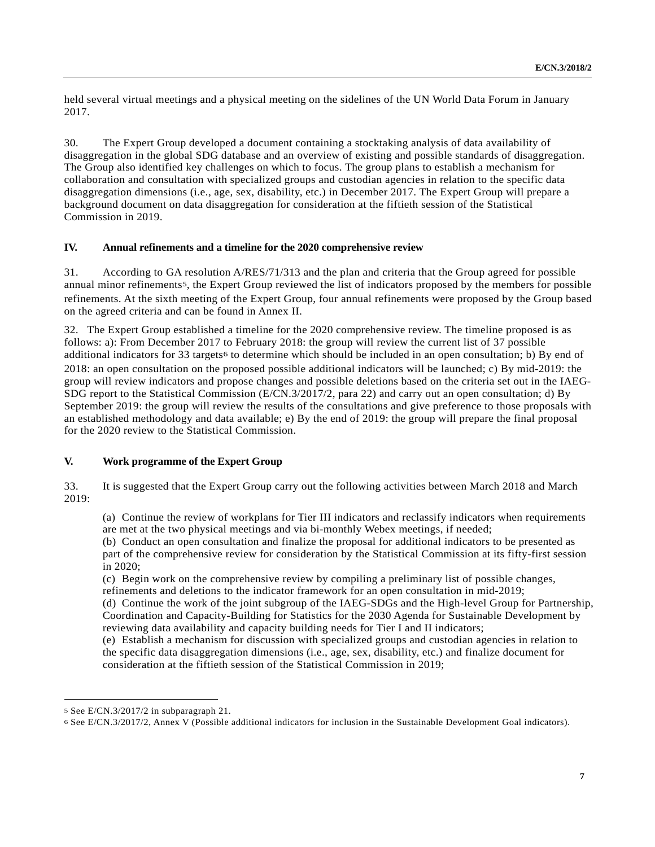held several virtual meetings and a physical meeting on the sidelines of the UN World Data Forum in January 2017.

30. The Expert Group developed a document containing a stocktaking analysis of data availability of disaggregation in the global SDG database and an overview of existing and possible standards of disaggregation. The Group also identified key challenges on which to focus. The group plans to establish a mechanism for collaboration and consultation with specialized groups and custodian agencies in relation to the specific data disaggregation dimensions (i.e., age, sex, disability, etc.) in December 2017. The Expert Group will prepare a background document on data disaggregation for consideration at the fiftieth session of the Statistical Commission in 2019.

## **IV. Annual refinements and a timeline for the 2020 comprehensive review**

31. According to GA resolution A/RES/71/313 and the plan and criteria that the Group agreed for possible annual minor refinements5, the Expert Group reviewed the list of indicators proposed by the members for possible refinements. At the sixth meeting of the Expert Group, four annual refinements were proposed by the Group based on the agreed criteria and can be found in Annex II.

32. The Expert Group established a timeline for the 2020 comprehensive review. The timeline proposed is as follows: a): From December 2017 to February 2018: the group will review the current list of 37 possible additional indicators for 33 targets<sup>6</sup> to determine which should be included in an open consultation; b) By end of 2018: an open consultation on the proposed possible additional indicators will be launched; c) By mid-2019: the group will review indicators and propose changes and possible deletions based on the criteria set out in the IAEG-SDG report to the Statistical Commission (E/CN.3/2017/2, para 22) and carry out an open consultation; d) By September 2019: the group will review the results of the consultations and give preference to those proposals with an established methodology and data available; e) By the end of 2019: the group will prepare the final proposal for the 2020 review to the Statistical Commission.

#### **V. Work programme of the Expert Group**

33. It is suggested that the Expert Group carry out the following activities between March 2018 and March 2019:

(a) Continue the review of workplans for Tier III indicators and reclassify indicators when requirements are met at the two physical meetings and via bi-monthly Webex meetings, if needed;

(b) Conduct an open consultation and finalize the proposal for additional indicators to be presented as part of the comprehensive review for consideration by the Statistical Commission at its fifty-first session in 2020;

(c) Begin work on the comprehensive review by compiling a preliminary list of possible changes, refinements and deletions to the indicator framework for an open consultation in mid-2019;

(d) Continue the work of the joint subgroup of the IAEG-SDGs and the High-level Group for Partnership, Coordination and Capacity-Building for Statistics for the 2030 Agenda for Sustainable Development by reviewing data availability and capacity building needs for Tier I and II indicators;

(e) Establish a mechanism for discussion with specialized groups and custodian agencies in relation to the specific data disaggregation dimensions (i.e., age, sex, disability, etc.) and finalize document for consideration at the fiftieth session of the Statistical Commission in 2019;

 $\overline{a}$ 

<sup>5</sup> See E/CN.3/2017/2 in subparagraph 21.

<sup>6</sup> See E/CN.3/2017/2, Annex V (Possible additional indicators for inclusion in the Sustainable Development Goal indicators).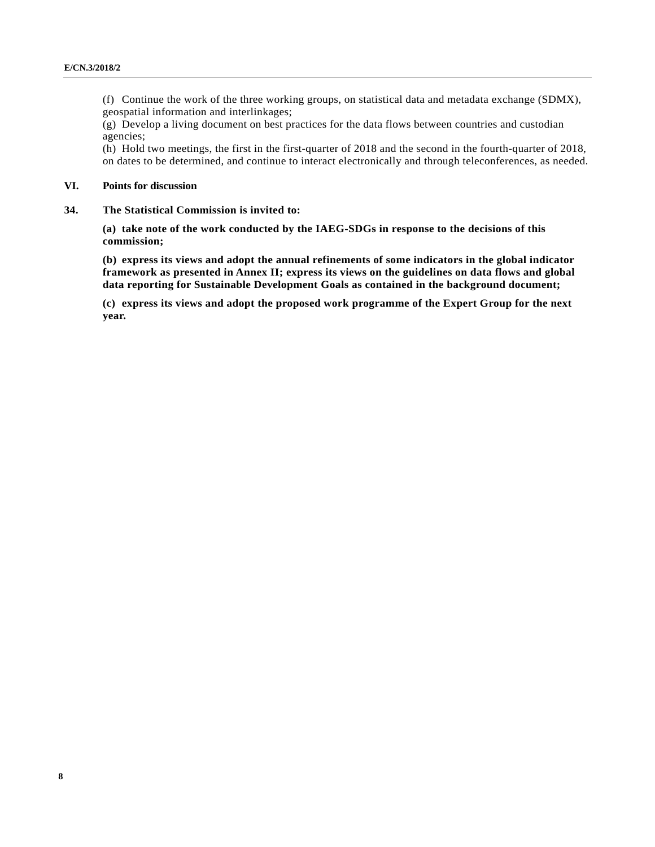(f) Continue the work of the three working groups, on statistical data and metadata exchange (SDMX), geospatial information and interlinkages;

(g) Develop a living document on best practices for the data flows between countries and custodian agencies;

(h) Hold two meetings, the first in the first-quarter of 2018 and the second in the fourth-quarter of 2018, on dates to be determined, and continue to interact electronically and through teleconferences, as needed.

#### **VI. Points for discussion**

**34. The Statistical Commission is invited to:** 

**(a) take note of the work conducted by the IAEG-SDGs in response to the decisions of this commission;** 

**(b) express its views and adopt the annual refinements of some indicators in the global indicator framework as presented in Annex II; express its views on the guidelines on data flows and global data reporting for Sustainable Development Goals as contained in the background document;** 

**(c) express its views and adopt the proposed work programme of the Expert Group for the next year.**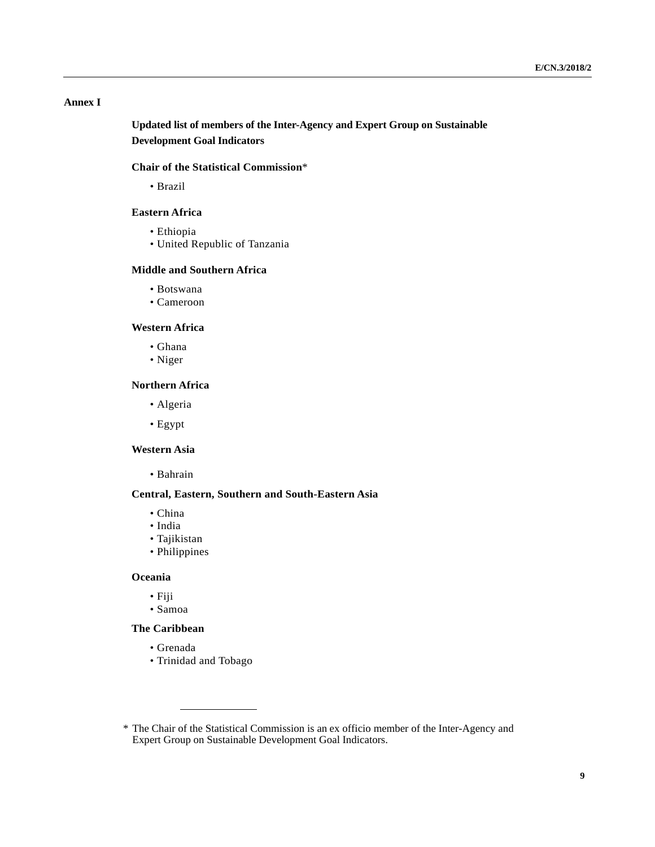## **Annex I**

 **Updated list of members of the Inter-Agency and Expert Group on Sustainable Development Goal Indicators** 

#### **Chair of the Statistical Commission**\*

• Brazil

#### **Eastern Africa**

- Ethiopia
- United Republic of Tanzania

#### **Middle and Southern Africa**

- Botswana
- Cameroon

#### **Western Africa**

- Ghana
- Niger

#### **Northern Africa**

- Algeria
- Egypt

#### **Western Asia**

• Bahrain

#### **Central, Eastern, Southern and South-Eastern Asia**

- China
- India
- Tajikistan
- Philippines

#### **Oceania**

- Fiji
- Samoa

#### **The Caribbean**

- Grenada
- Trinidad and Tobago

 <sup>\*</sup> The Chair of the Statistical Commission is an ex officio member of the Inter-Agency and Expert Group on Sustainable Development Goal Indicators.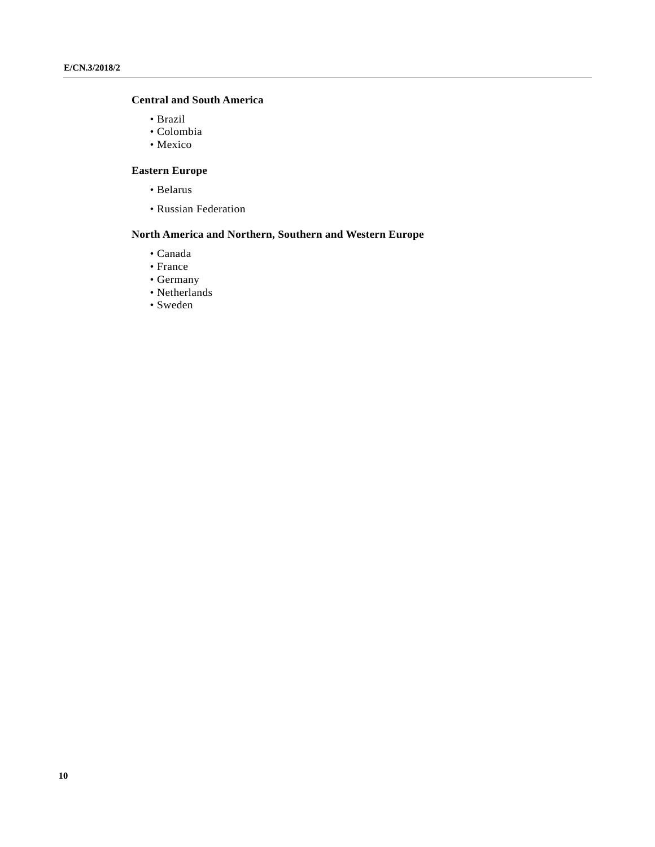## **Central and South America**

- Brazil
- Colombia
- Mexico

## **Eastern Europe**

- Belarus
- Russian Federation

## **North America and Northern, Southern and Western Europe**

- Canada
- France
- Germany
- Netherlands
- Sweden